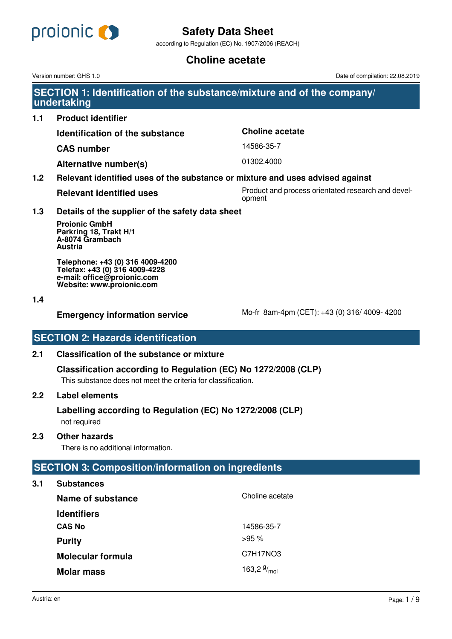

according to Regulation (EC) No. 1907/2006 (REACH)

# **Choline acetate**

Version number: GHS 1.0 Date of compilation: 22.08.2019

- **SECTION 1: Identification of the substance/mixture and of the company/ undertaking**
- **1.1 Product identifier**

**Identification of the substance Choline acetate**

**CAS number** 14586-35-7

**Alternative number(s)** 01302.4000

### **1.2 Relevant identified uses of the substance or mixture and uses advised against**

**Relevant identified uses** Product and process orientated research and development

**1.3 Details of the supplier of the safety data sheet**

**Proionic GmbH Parkring 18, Trakt H/1 A-8074 Grambach Austria**

**Telephone: +43 (0) 316 4009-4200 Telefax: +43 (0) 316 4009-4228 e-mail: office@proionic.com Website: www.proionic.com**

#### **1.4**

**Emergency information service** Mo-fr 8am-4pm (CET): +43 (0) 316/ 4009- 4200

### **SECTION 2: Hazards identification**

### **2.1 Classification of the substance or mixture**

### **Classification according to Regulation (EC) No 1272/2008 (CLP)**

This substance does not meet the criteria for classification.

### **2.2 Label elements**

### **Labelling according to Regulation (EC) No 1272/2008 (CLP)**

not required

### **2.3 Other hazards**

There is no additional information.

### **SECTION 3: Composition/information on ingredients**

| <b>Substances</b>        |                  |
|--------------------------|------------------|
| Name of substance        | Choline acetate  |
| <b>Identifiers</b>       |                  |
| <b>CAS No</b>            | 14586-35-7       |
| <b>Purity</b>            | $>95\%$          |
| <b>Molecular formula</b> | C7H17NO3         |
| <b>Molar mass</b>        | 163,2 $9/_{mol}$ |
|                          |                  |

**3.1 Substances**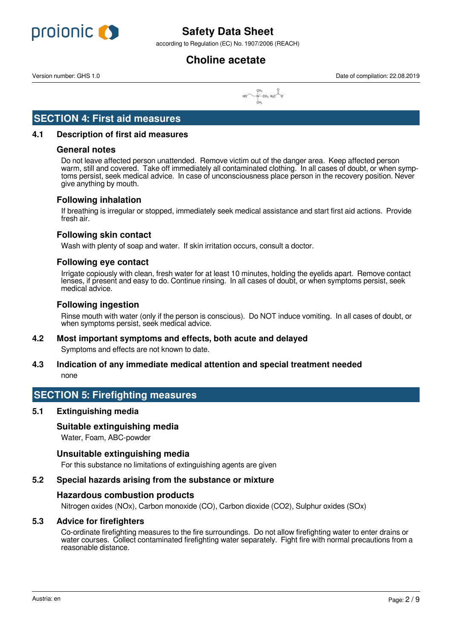

according to Regulation (EC) No. 1907/2006 (REACH)

# **Choline acetate**

Version number: GHS 1.0 Date of compilation: 22.08.2019



### **SECTION 4: First aid measures**

#### **4.1 Description of first aid measures**

#### **General notes**

Do not leave affected person unattended. Remove victim out of the danger area. Keep affected person warm, still and covered. Take off immediately all contaminated clothing. In all cases of doubt, or when symptoms persist, seek medical advice. In case of unconsciousness place person in the recovery position. Never give anything by mouth.

#### **Following inhalation**

If breathing is irregular or stopped, immediately seek medical assistance and start first aid actions. Provide fresh air.

#### **Following skin contact**

Wash with plenty of soap and water. If skin irritation occurs, consult a doctor.

#### **Following eye contact**

Irrigate copiously with clean, fresh water for at least 10 minutes, holding the eyelids apart. Remove contact lenses, if present and easy to do. Continue rinsing. In all cases of doubt, or when symptoms persist, seek medical advice.

#### **Following ingestion**

Rinse mouth with water (only if the person is conscious). Do NOT induce vomiting. In all cases of doubt, or when symptoms persist, seek medical advice.

#### **4.2 Most important symptoms and effects, both acute and delayed**

Symptoms and effects are not known to date.

#### **4.3 Indication of any immediate medical attention and special treatment needed** none

### **SECTION 5: Firefighting measures**

#### **5.1 Extinguishing media**

#### **Suitable extinguishing media**

Water, Foam, ABC-powder

#### **Unsuitable extinguishing media**

For this substance no limitations of extinguishing agents are given

#### **5.2 Special hazards arising from the substance or mixture**

#### **Hazardous combustion products**

Nitrogen oxides (NOx), Carbon monoxide (CO), Carbon dioxide (CO2), Sulphur oxides (SOx)

#### **5.3 Advice for firefighters**

Co-ordinate firefighting measures to the fire surroundings. Do not allow firefighting water to enter drains or water courses. Collect contaminated firefighting water separately. Fight fire with normal precautions from a reasonable distance.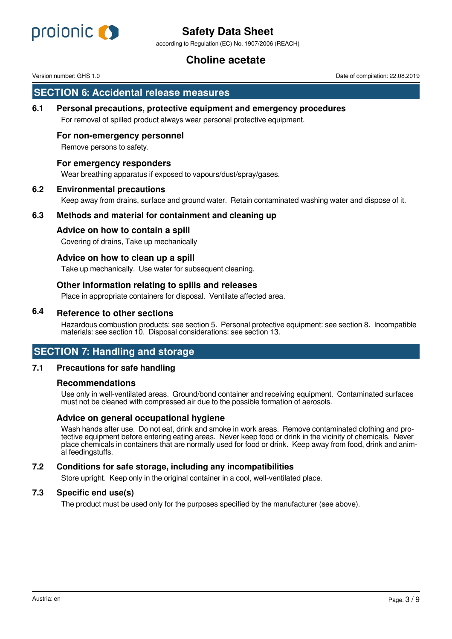

according to Regulation (EC) No. 1907/2006 (REACH)

# **Choline acetate**

Version number: GHS 1.0 Date of compilation: 22.08.2019

### **SECTION 6: Accidental release measures**

#### **6.1 Personal precautions, protective equipment and emergency procedures**

For removal of spilled product always wear personal protective equipment.

#### **For non-emergency personnel**

Remove persons to safety.

#### **For emergency responders**

Wear breathing apparatus if exposed to vapours/dust/spray/gases.

#### **6.2 Environmental precautions**

Keep away from drains, surface and ground water. Retain contaminated washing water and dispose of it.

### **6.3 Methods and material for containment and cleaning up**

#### **Advice on how to contain a spill**

Covering of drains, Take up mechanically

#### **Advice on how to clean up a spill**

Take up mechanically. Use water for subsequent cleaning.

#### **Other information relating to spills and releases**

Place in appropriate containers for disposal. Ventilate affected area.

### **6.4 Reference to other sections**

Hazardous combustion products: see section 5. Personal protective equipment: see section 8. Incompatible materials: see section 10. Disposal considerations: see section 13.

### **SECTION 7: Handling and storage**

#### **7.1 Precautions for safe handling**

#### **Recommendations**

Use only in well-ventilated areas. Ground/bond container and receiving equipment. Contaminated surfaces must not be cleaned with compressed air due to the possible formation of aerosols.

#### **Advice on general occupational hygiene**

Wash hands after use. Do not eat, drink and smoke in work areas. Remove contaminated clothing and protective equipment before entering eating areas. Never keep food or drink in the vicinity of chemicals. Never place chemicals in containers that are normally used for food or drink. Keep away from food, drink and animal feedingstuffs.

#### **7.2 Conditions for safe storage, including any incompatibilities**

Store upright. Keep only in the original container in a cool, well-ventilated place.

#### **7.3 Specific end use(s)**

The product must be used only for the purposes specified by the manufacturer (see above).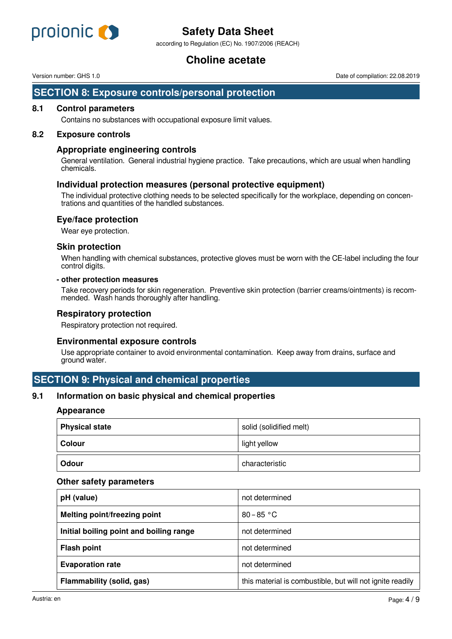

according to Regulation (EC) No. 1907/2006 (REACH)

# **Choline acetate**

Version number: GHS 1.0 Date of compilation: 22.08.2019

### **SECTION 8: Exposure controls/personal protection**

#### **8.1 Control parameters**

Contains no substances with occupational exposure limit values.

#### **8.2 Exposure controls**

#### **Appropriate engineering controls**

General ventilation. General industrial hygiene practice. Take precautions, which are usual when handling chemicals.

#### **Individual protection measures (personal protective equipment)**

The individual protective clothing needs to be selected specifically for the workplace, depending on concentrations and quantities of the handled substances.

#### **Eye/face protection**

Wear eye protection.

#### **Skin protection**

When handling with chemical substances, protective gloves must be worn with the CE-label including the four control digits.

#### **- other protection measures**

Take recovery periods for skin regeneration. Preventive skin protection (barrier creams/ointments) is recommended. Wash hands thoroughly after handling.

#### **Respiratory protection**

Respiratory protection not required.

#### **Environmental exposure controls**

Use appropriate container to avoid environmental contamination. Keep away from drains, surface and ground water.

### **SECTION 9: Physical and chemical properties**

#### **9.1 Information on basic physical and chemical properties**

#### **Appearance**

| <b>Physical state</b> | solid (solidified melt) |
|-----------------------|-------------------------|
| <b>Colour</b>         | light yellow            |
| Odour                 | characteristic          |

#### **Other safety parameters**

| pH (value)                              | not determined                                            |
|-----------------------------------------|-----------------------------------------------------------|
| <b>Melting point/freezing point</b>     | $80 - 85 °C$                                              |
| Initial boiling point and boiling range | not determined                                            |
| <b>Flash point</b>                      | not determined                                            |
| <b>Evaporation rate</b>                 | not determined                                            |
| Flammability (solid, gas)               | this material is combustible, but will not ignite readily |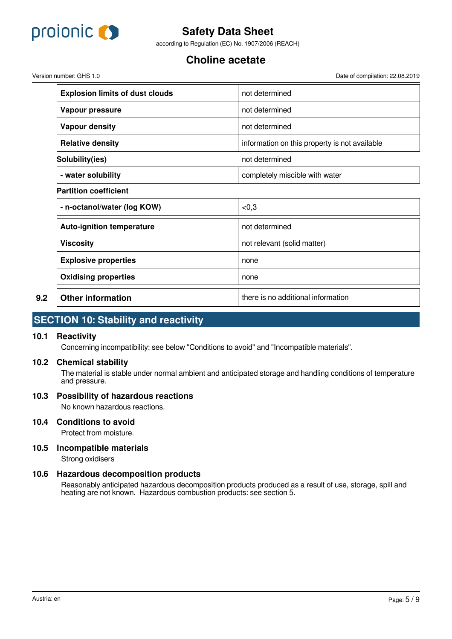

according to Regulation (EC) No. 1907/2006 (REACH)

# **Choline acetate**

Version number: GHS 1.0 Date of compilation: 22.08.2019

|     | <b>Explosion limits of dust clouds</b> | not determined                                |
|-----|----------------------------------------|-----------------------------------------------|
|     | Vapour pressure                        | not determined                                |
|     | <b>Vapour density</b>                  | not determined                                |
|     | <b>Relative density</b>                | information on this property is not available |
|     | Solubility(ies)                        | not determined                                |
|     | - water solubility                     | completely miscible with water                |
|     | <b>Partition coefficient</b>           |                                               |
|     | - n-octanol/water (log KOW)            | <0,3                                          |
|     | <b>Auto-ignition temperature</b>       | not determined                                |
|     | <b>Viscosity</b>                       | not relevant (solid matter)                   |
|     | <b>Explosive properties</b>            | none                                          |
|     | <b>Oxidising properties</b>            | none                                          |
| 9.2 | <b>Other information</b>               | there is no additional information            |

### **SECTION 10: Stability and reactivity**

#### **10.1 Reactivity**

Concerning incompatibility: see below "Conditions to avoid" and "Incompatible materials".

#### **10.2 Chemical stability**

The material is stable under normal ambient and anticipated storage and handling conditions of temperature and pressure.

### **10.3 Possibility of hazardous reactions**

No known hazardous reactions.

#### **10.4 Conditions to avoid**

Protect from moisture.

#### **10.5 Incompatible materials**

Strong oxidisers

### **10.6 Hazardous decomposition products**

Reasonably anticipated hazardous decomposition products produced as a result of use, storage, spill and heating are not known. Hazardous combustion products: see section 5.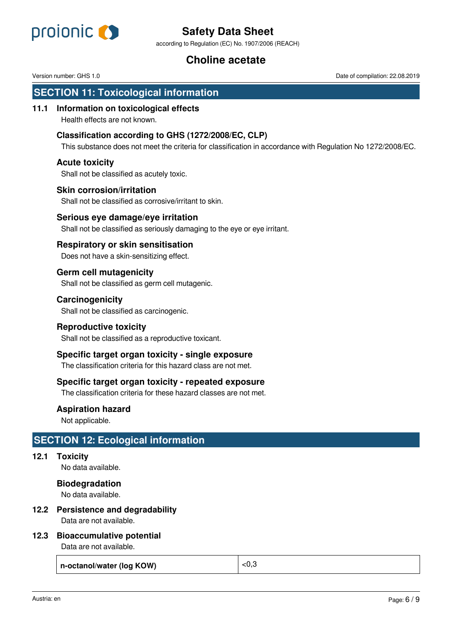

according to Regulation (EC) No. 1907/2006 (REACH)

# **Choline acetate**

**SECTION 11: Toxicological information**

#### **11.1 Information on toxicological effects**

Health effects are not known.

#### **Classification according to GHS (1272/2008/EC, CLP)**

This substance does not meet the criteria for classification in accordance with Regulation No 1272/2008/EC.

#### **Acute toxicity**

Shall not be classified as acutely toxic.

#### **Skin corrosion/irritation**

Shall not be classified as corrosive/irritant to skin.

#### **Serious eye damage/eye irritation**

Shall not be classified as seriously damaging to the eye or eye irritant.

### **Respiratory or skin sensitisation**

Does not have a skin-sensitizing effect.

#### **Germ cell mutagenicity**

Shall not be classified as germ cell mutagenic.

#### **Carcinogenicity**

Shall not be classified as carcinogenic.

#### **Reproductive toxicity**

Shall not be classified as a reproductive toxicant.

#### **Specific target organ toxicity - single exposure**

The classification criteria for this hazard class are not met.

#### **Specific target organ toxicity - repeated exposure**

The classification criteria for these hazard classes are not met.

#### **Aspiration hazard**

Not applicable.

## **SECTION 12: Ecological information**

#### **12.1 Toxicity**

No data available.

**Biodegradation**

No data available.

#### **12.2 Persistence and degradability**

Data are not available.

#### **12.3 Bioaccumulative potential**

Data are not available.

**n-octanol/water (log KOW)**  $|<0,3$ 

Version number: GHS 1.0 Date of compilation: 22.08.2019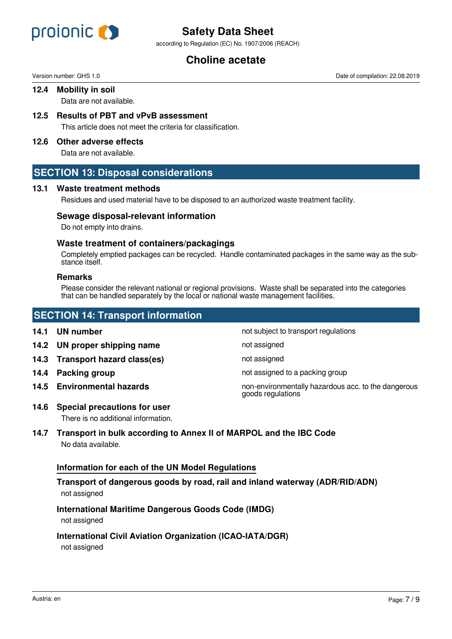

according to Regulation (EC) No. 1907/2006 (REACH)

# **Choline acetate**

**12.4 Mobility in soil**

Data are not available.

- **12.5 Results of PBT and vPvB assessment** This article does not meet the criteria for classification.
- **12.6 Other adverse effects**

Data are not available.

### **SECTION 13: Disposal considerations**

#### **13.1 Waste treatment methods**

Residues and used material have to be disposed to an authorized waste treatment facility.

#### **Sewage disposal-relevant information**

Do not empty into drains.

#### **Waste treatment of containers/packagings**

Completely emptied packages can be recycled. Handle contaminated packages in the same way as the substance itself.

#### **Remarks**

Please consider the relevant national or regional provisions. Waste shall be separated into the categories that can be handled separately by the local or national waste management facilities.

### **SECTION 14: Transport information**

- 
- **14.2 UN proper shipping name** not assigned
- **14.3 Transport hazard class(es)** not assigned
- 
- 

**14.1 UN number** not subject to transport regulations

**14.4 Packing group 14.4 Packing group** not assigned to a packing group

**14.5 <b>Environmental hazards non-environmentally hazardous acc. to the dangerous** goods regulations

# **14.6 Special precautions for user**

There is no additional information.

**14.7 Transport in bulk according to Annex II of MARPOL and the IBC Code** No data available.

### **Information for each of the UN Model Regulations**

**Transport of dangerous goods by road, rail and inland waterway (ADR/RID/ADN)** not assigned

### **International Maritime Dangerous Goods Code (IMDG)**

not assigned

# **International Civil Aviation Organization (ICAO-IATA/DGR)**

not assigned

Version number: GHS 1.0 Date of compilation: 22.08.2019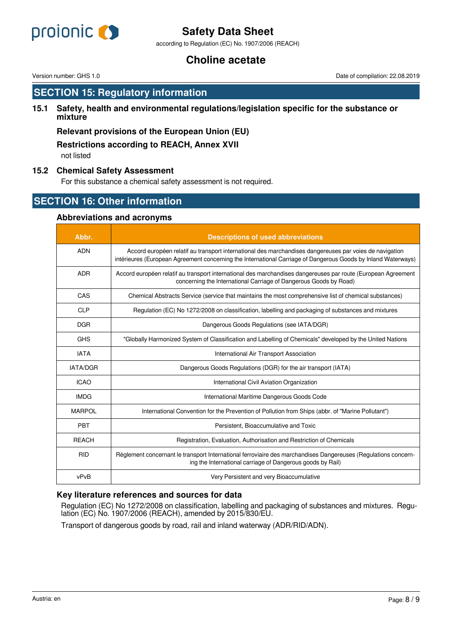

according to Regulation (EC) No. 1907/2006 (REACH)

# **Choline acetate**

**SECTION 15: Regulatory information**

**15.1 Safety, health and environmental regulations/legislation specific for the substance or mixture**

**Relevant provisions of the European Union (EU)**

**Restrictions according to REACH, Annex XVII**

not listed

#### **15.2 Chemical Safety Assessment**

For this substance a chemical safety assessment is not required.

## **SECTION 16: Other information**

#### **Abbreviations and acronyms**

| Abbr.           | <b>Descriptions of used abbreviations</b>                                                                                                                                                                                |
|-----------------|--------------------------------------------------------------------------------------------------------------------------------------------------------------------------------------------------------------------------|
| <b>ADN</b>      | Accord européen relatif au transport international des marchandises dangereuses par voies de navigation<br>intérieures (European Agreement concerning the International Carriage of Dangerous Goods by Inland Waterways) |
| <b>ADR</b>      | Accord européen relatif au transport international des marchandises dangereuses par route (European Agreement<br>concerning the International Carriage of Dangerous Goods by Road)                                       |
| CAS             | Chemical Abstracts Service (service that maintains the most comprehensive list of chemical substances)                                                                                                                   |
| <b>CLP</b>      | Regulation (EC) No 1272/2008 on classification, labelling and packaging of substances and mixtures                                                                                                                       |
| <b>DGR</b>      | Dangerous Goods Regulations (see IATA/DGR)                                                                                                                                                                               |
| <b>GHS</b>      | "Globally Harmonized System of Classification and Labelling of Chemicals" developed by the United Nations                                                                                                                |
| <b>IATA</b>     | International Air Transport Association                                                                                                                                                                                  |
| <b>IATA/DGR</b> | Dangerous Goods Regulations (DGR) for the air transport (IATA)                                                                                                                                                           |
| <b>ICAO</b>     | International Civil Aviation Organization                                                                                                                                                                                |
| <b>IMDG</b>     | International Maritime Dangerous Goods Code                                                                                                                                                                              |
| <b>MARPOL</b>   | International Convention for the Prevention of Pollution from Ships (abbr. of "Marine Pollutant")                                                                                                                        |
| PBT             | Persistent. Bioaccumulative and Toxic                                                                                                                                                                                    |
| <b>REACH</b>    | Registration, Evaluation, Authorisation and Restriction of Chemicals                                                                                                                                                     |
| <b>RID</b>      | Règlement concernant le transport International ferroviaire des marchandises Dangereuses (Regulations concern-<br>ing the International carriage of Dangerous goods by Rail)                                             |
| vPvB            | Very Persistent and very Bioaccumulative                                                                                                                                                                                 |

#### **Key literature references and sources for data**

Regulation (EC) No 1272/2008 on classification, labelling and packaging of substances and mixtures. Regulation (EC) No. 1907/2006 (REACH), amended by 2015/830/EU.

Transport of dangerous goods by road, rail and inland waterway (ADR/RID/ADN).

Version number: GHS 1.0 Date of compilation: 22.08.2019